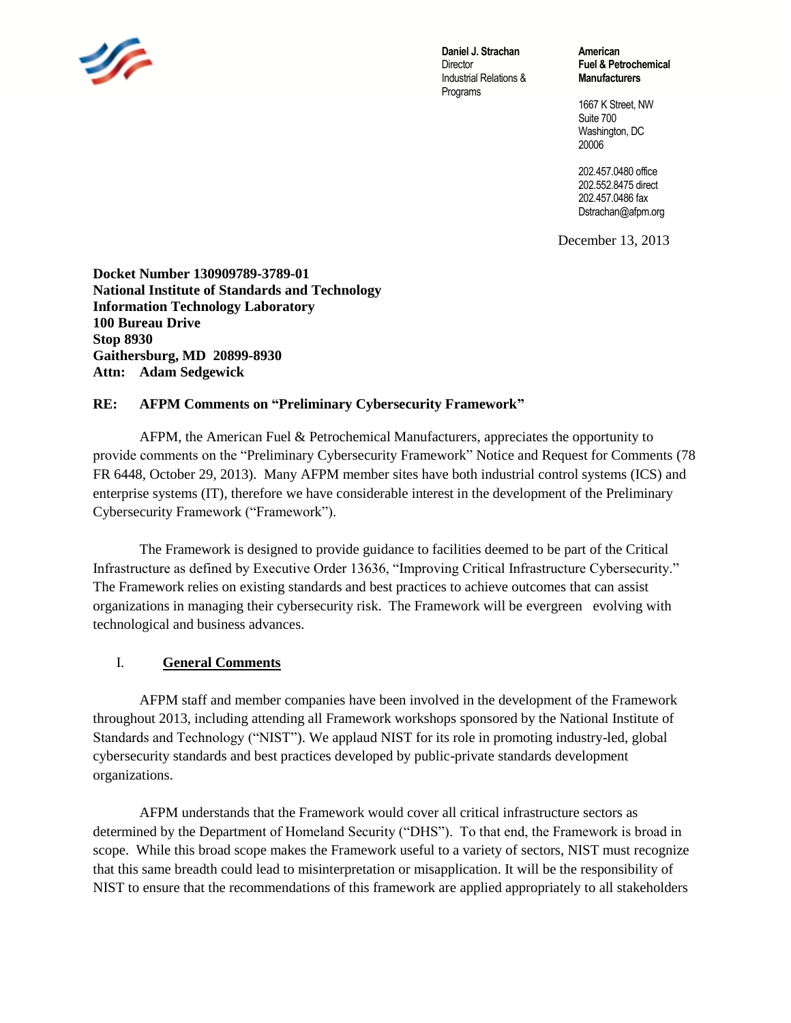

**Daniel J. Strachan Director** Industrial Relations & Programs

**American Fuel & Petrochemical Manufacturers**

1667 K Street, NW Suite 700 Washington, DC 20006

202.457.0480 office 202.552.8475 direct 202.457.0486 fax Dstrachan@afpm.org

December 13, 2013

**Docket Number 130909789-3789-01 National Institute of Standards and Technology Information Technology Laboratory 100 Bureau Drive Stop 8930 Gaithersburg, MD 20899-8930 Attn: Adam Sedgewick**

### **RE: AFPM Comments on "Preliminary Cybersecurity Framework"**

AFPM, the American Fuel & Petrochemical Manufacturers, appreciates the opportunity to provide comments on the "Preliminary Cybersecurity Framework" Notice and Request for Comments (78 FR 6448, October 29, 2013). Many AFPM member sites have both industrial control systems (ICS) and enterprise systems (IT), therefore we have considerable interest in the development of the Preliminary Cybersecurity Framework ("Framework").

The Framework is designed to provide guidance to facilities deemed to be part of the Critical Infrastructure as defined by Executive Order 13636, "Improving Critical Infrastructure Cybersecurity." The Framework relies on existing standards and best practices to achieve outcomes that can assist organizations in managing their cybersecurity risk. The Framework will be evergreen evolving with technological and business advances.

## I. **General Comments**

AFPM staff and member companies have been involved in the development of the Framework throughout 2013, including attending all Framework workshops sponsored by the National Institute of Standards and Technology ("NIST"). We applaud NIST for its role in promoting industry-led, global cybersecurity standards and best practices developed by public-private standards development organizations.

AFPM understands that the Framework would cover all critical infrastructure sectors as determined by the Department of Homeland Security ("DHS"). To that end, the Framework is broad in scope. While this broad scope makes the Framework useful to a variety of sectors, NIST must recognize that this same breadth could lead to misinterpretation or misapplication. It will be the responsibility of NIST to ensure that the recommendations of this framework are applied appropriately to all stakeholders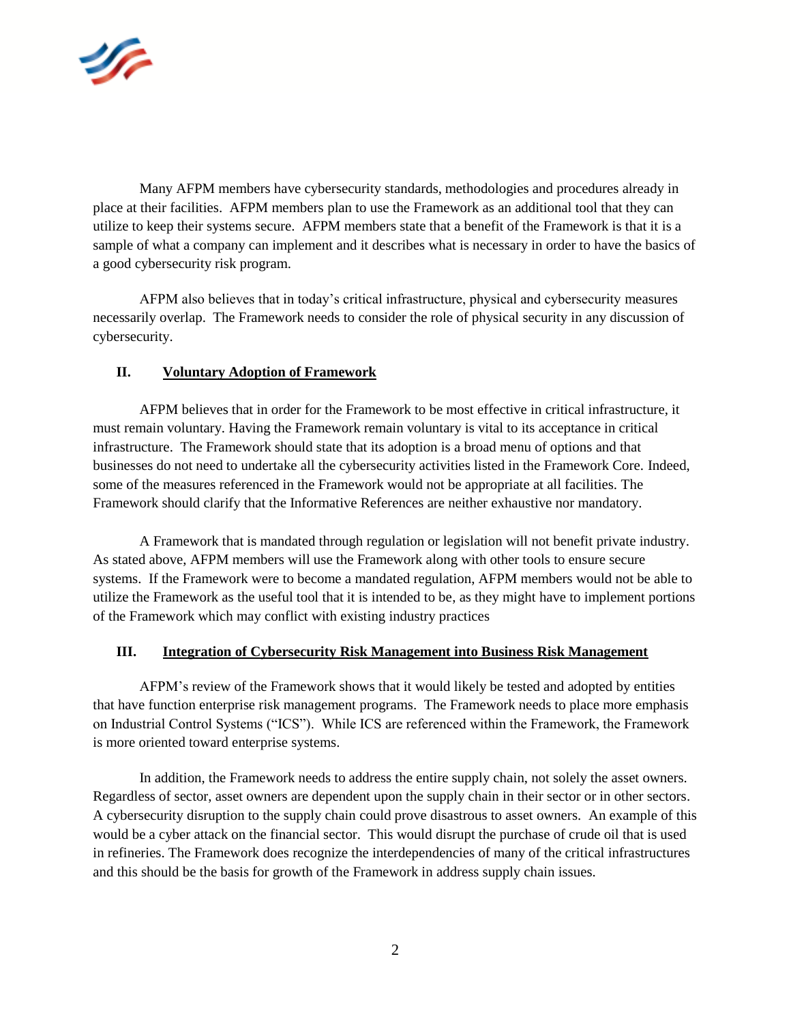

Many AFPM members have cybersecurity standards, methodologies and procedures already in place at their facilities. AFPM members plan to use the Framework as an additional tool that they can utilize to keep their systems secure. AFPM members state that a benefit of the Framework is that it is a sample of what a company can implement and it describes what is necessary in order to have the basics of a good cybersecurity risk program.

AFPM also believes that in today's critical infrastructure, physical and cybersecurity measures necessarily overlap. The Framework needs to consider the role of physical security in any discussion of cybersecurity.

### **II. Voluntary Adoption of Framework**

AFPM believes that in order for the Framework to be most effective in critical infrastructure, it must remain voluntary. Having the Framework remain voluntary is vital to its acceptance in critical infrastructure. The Framework should state that its adoption is a broad menu of options and that businesses do not need to undertake all the cybersecurity activities listed in the Framework Core. Indeed, some of the measures referenced in the Framework would not be appropriate at all facilities. The Framework should clarify that the Informative References are neither exhaustive nor mandatory.

A Framework that is mandated through regulation or legislation will not benefit private industry. As stated above, AFPM members will use the Framework along with other tools to ensure secure systems. If the Framework were to become a mandated regulation, AFPM members would not be able to utilize the Framework as the useful tool that it is intended to be, as they might have to implement portions of the Framework which may conflict with existing industry practices

#### **III. Integration of Cybersecurity Risk Management into Business Risk Management**

AFPM's review of the Framework shows that it would likely be tested and adopted by entities that have function enterprise risk management programs. The Framework needs to place more emphasis on Industrial Control Systems ("ICS"). While ICS are referenced within the Framework, the Framework is more oriented toward enterprise systems.

In addition, the Framework needs to address the entire supply chain, not solely the asset owners. Regardless of sector, asset owners are dependent upon the supply chain in their sector or in other sectors. A cybersecurity disruption to the supply chain could prove disastrous to asset owners. An example of this would be a cyber attack on the financial sector. This would disrupt the purchase of crude oil that is used in refineries. The Framework does recognize the interdependencies of many of the critical infrastructures and this should be the basis for growth of the Framework in address supply chain issues.